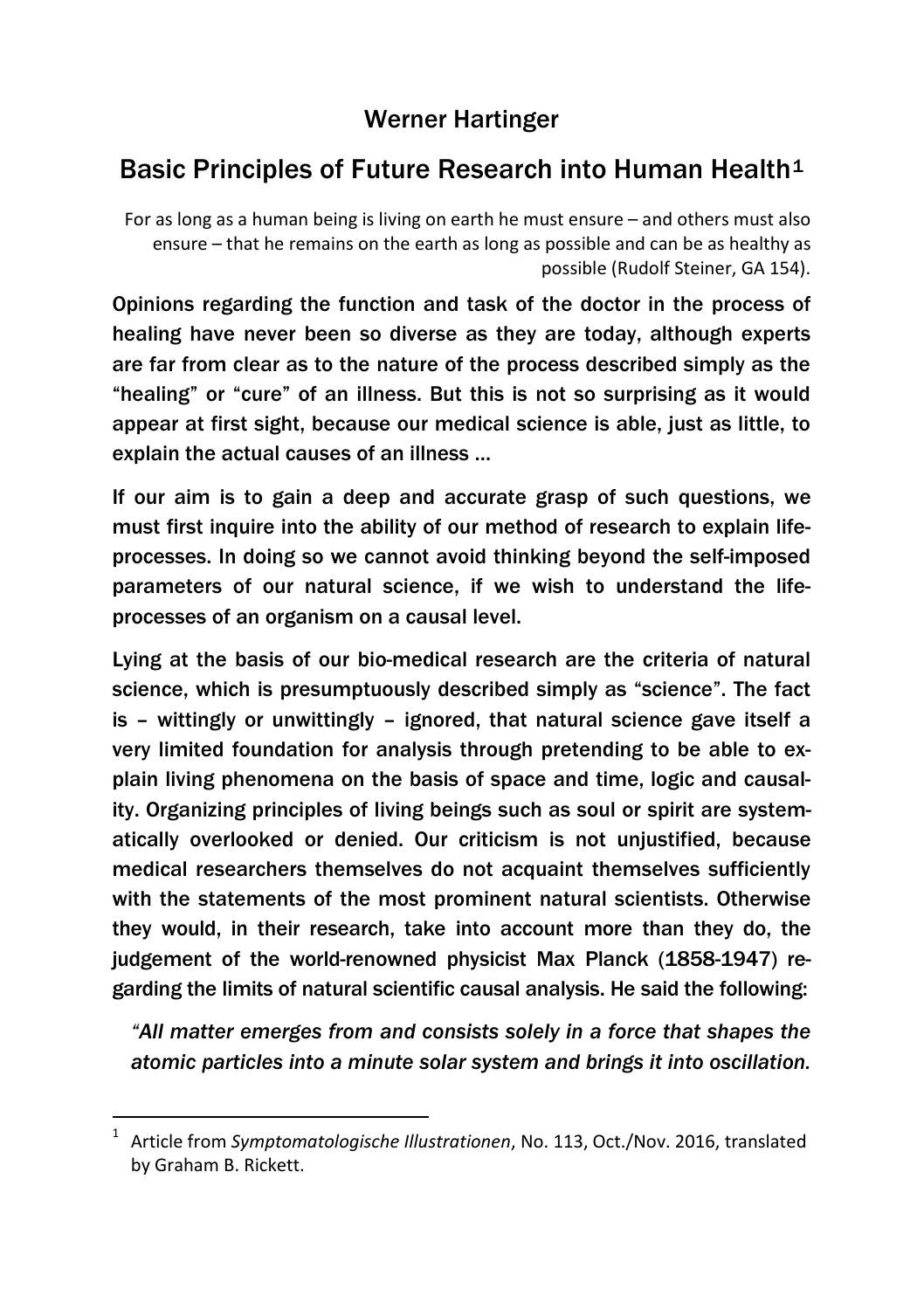## Werner Hartinger

# Basic Principles of Future Research into Human Health<sup>[1](#page-0-0)</sup>

For as long as a human being is living on earth he must ensure – and others must also ensure – that he remains on the earth as long as possible and can be as healthy as possible (Rudolf Steiner, GA 154).

Opinions regarding the function and task of the doctor in the process of healing have never been so diverse as they are today, although experts are far from clear as to the nature of the process described simply as the "healing" or "cure" of an illness. But this is not so surprising as it would appear at first sight, because our medical science is able, just as little, to explain the actual causes of an illness …

If our aim is to gain a deep and accurate grasp of such questions, we must first inquire into the ability of our method of research to explain lifeprocesses. In doing so we cannot avoid thinking beyond the self-imposed parameters of our natural science, if we wish to understand the lifeprocesses of an organism on a causal level.

Lying at the basis of our bio-medical research are the criteria of natural science, which is presumptuously described simply as "science". The fact is – wittingly or unwittingly – ignored, that natural science gave itself a very limited foundation for analysis through pretending to be able to explain living phenomena on the basis of space and time, logic and causality. Organizing principles of living beings such as soul or spirit are systematically overlooked or denied. Our criticism is not unjustified, because medical researchers themselves do not acquaint themselves sufficiently with the statements of the most prominent natural scientists. Otherwise they would, in their research, take into account more than they do, the judgement of the world-renowned physicist Max Planck (1858-1947) regarding the limits of natural scientific causal analysis. He said the following:

*"All matter emerges from and consists solely in a force that shapes the atomic particles into a minute solar system and brings it into oscillation.* 

<span id="page-0-0"></span> <sup>1</sup> Article from *Symptomatologische Illustrationen*, No. 113, Oct./Nov. 2016, translated by Graham B. Rickett.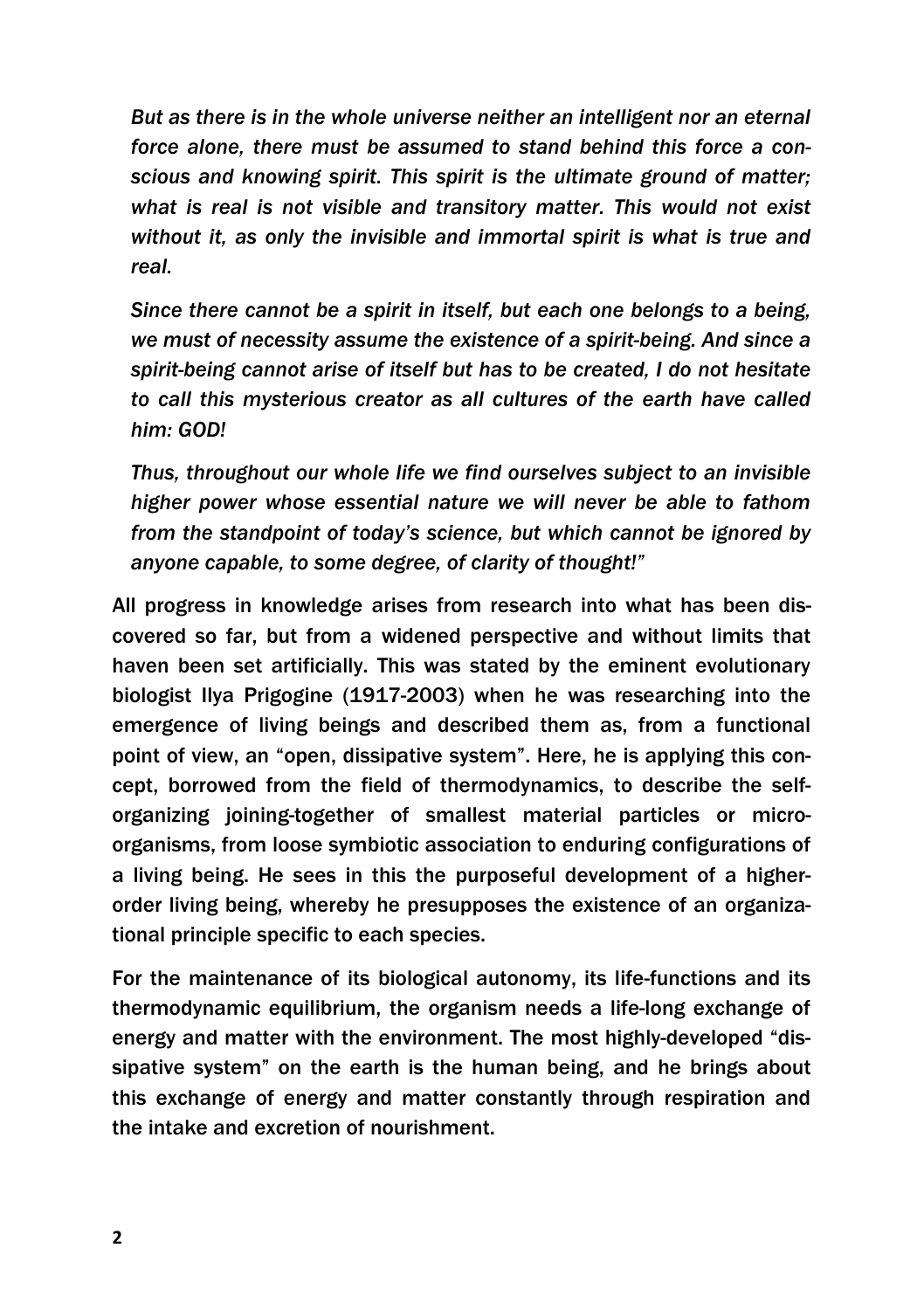*But as there is in the whole universe neither an intelligent nor an eternal force alone, there must be assumed to stand behind this force a conscious and knowing spirit. This spirit is the ultimate ground of matter; what is real is not visible and transitory matter. This would not exist without it, as only the invisible and immortal spirit is what is true and real.*

*Since there cannot be a spirit in itself, but each one belongs to a being, we must of necessity assume the existence of a spirit-being. And since a spirit-being cannot arise of itself but has to be created, I do not hesitate to call this mysterious creator as all cultures of the earth have called him: GOD!*

*Thus, throughout our whole life we find ourselves subject to an invisible higher power whose essential nature we will never be able to fathom from the standpoint of today's science, but which cannot be ignored by anyone capable, to some degree, of clarity of thought!"*

All progress in knowledge arises from research into what has been discovered so far, but from a widened perspective and without limits that haven been set artificially. This was stated by the eminent evolutionary biologist Ilya Prigogine (1917-2003) when he was researching into the emergence of living beings and described them as, from a functional point of view, an "open, dissipative system". Here, he is applying this concept, borrowed from the field of thermodynamics, to describe the selforganizing joining-together of smallest material particles or microorganisms, from loose symbiotic association to enduring configurations of a living being. He sees in this the purposeful development of a higherorder living being, whereby he presupposes the existence of an organizational principle specific to each species.

For the maintenance of its biological autonomy, its life-functions and its thermodynamic equilibrium, the organism needs a life-long exchange of energy and matter with the environment. The most highly-developed "dissipative system" on the earth is the human being, and he brings about this exchange of energy and matter constantly through respiration and the intake and excretion of nourishment.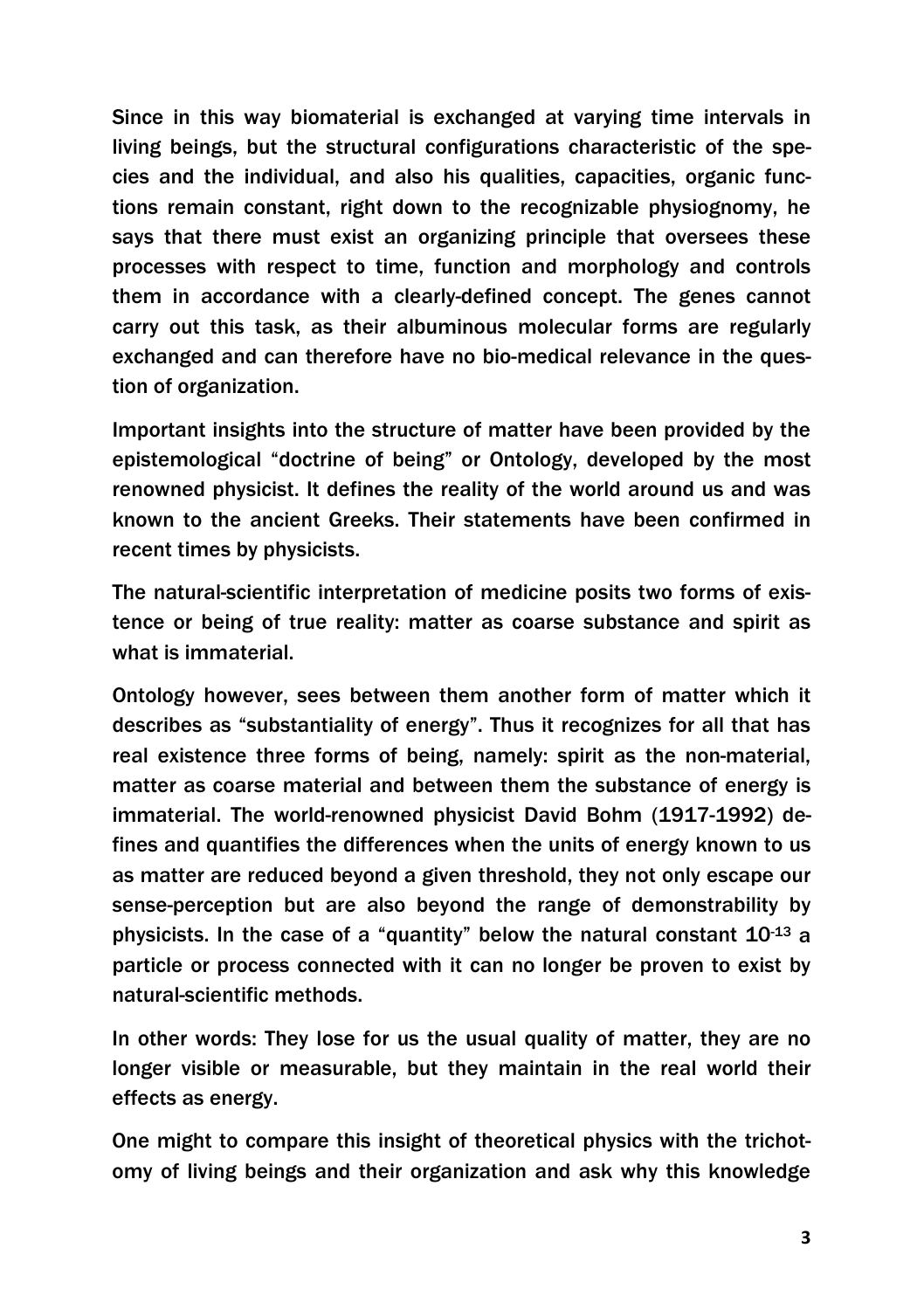Since in this way biomaterial is exchanged at varying time intervals in living beings, but the structural configurations characteristic of the species and the individual, and also his qualities, capacities, organic functions remain constant, right down to the recognizable physiognomy, he says that there must exist an organizing principle that oversees these processes with respect to time, function and morphology and controls them in accordance with a clearly-defined concept. The genes cannot carry out this task, as their albuminous molecular forms are regularly exchanged and can therefore have no bio-medical relevance in the question of organization.

Important insights into the structure of matter have been provided by the epistemological "doctrine of being" or Ontology, developed by the most renowned physicist. It defines the reality of the world around us and was known to the ancient Greeks. Their statements have been confirmed in recent times by physicists.

The natural-scientific interpretation of medicine posits two forms of existence or being of true reality: matter as coarse substance and spirit as what is immaterial.

Ontology however, sees between them another form of matter which it describes as "substantiality of energy". Thus it recognizes for all that has real existence three forms of being, namely: spirit as the non-material, matter as coarse material and between them the substance of energy is immaterial. The world-renowned physicist David Bohm (1917-1992) defines and quantifies the differences when the units of energy known to us as matter are reduced beyond a given threshold, they not only escape our sense-perception but are also beyond the range of demonstrability by physicists. In the case of a "quantity" below the natural constant 10-13 a particle or process connected with it can no longer be proven to exist by natural-scientific methods.

In other words: They lose for us the usual quality of matter, they are no longer visible or measurable, but they maintain in the real world their effects as energy.

One might to compare this insight of theoretical physics with the trichotomy of living beings and their organization and ask why this knowledge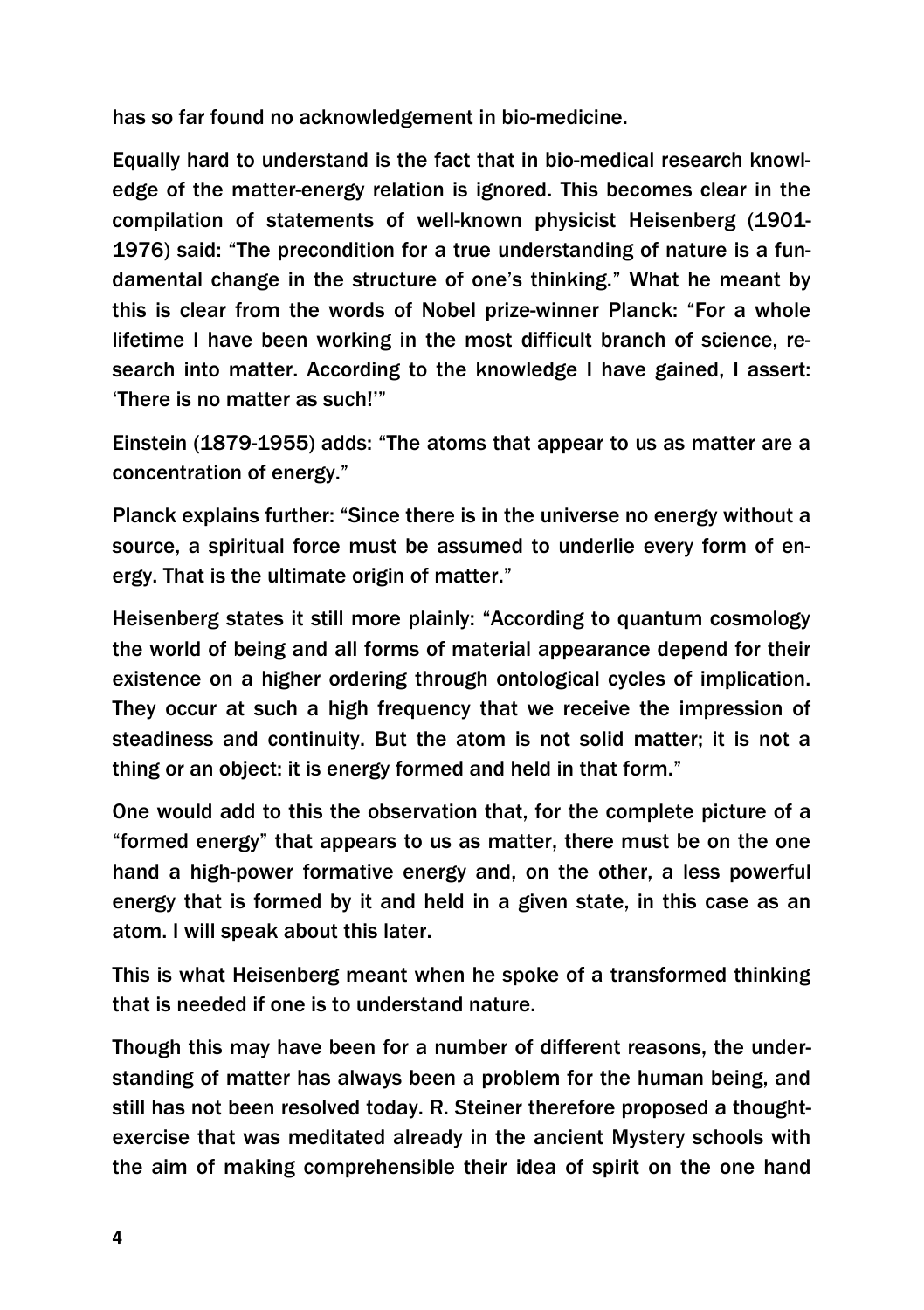has so far found no acknowledgement in bio-medicine.

Equally hard to understand is the fact that in bio-medical research knowledge of the matter-energy relation is ignored. This becomes clear in the compilation of statements of well-known physicist Heisenberg (1901- 1976) said: "The precondition for a true understanding of nature is a fundamental change in the structure of one's thinking." What he meant by this is clear from the words of Nobel prize-winner Planck: "For a whole lifetime I have been working in the most difficult branch of science, research into matter. According to the knowledge I have gained, I assert: 'There is no matter as such!'"

Einstein (1879-1955) adds: "The atoms that appear to us as matter are a concentration of energy."

Planck explains further: "Since there is in the universe no energy without a source, a spiritual force must be assumed to underlie every form of energy. That is the ultimate origin of matter."

Heisenberg states it still more plainly: "According to quantum cosmology the world of being and all forms of material appearance depend for their existence on a higher ordering through ontological cycles of implication. They occur at such a high frequency that we receive the impression of steadiness and continuity. But the atom is not solid matter; it is not a thing or an object: it is energy formed and held in that form."

One would add to this the observation that, for the complete picture of a "formed energy" that appears to us as matter, there must be on the one hand a high-power formative energy and, on the other, a less powerful energy that is formed by it and held in a given state, in this case as an atom. I will speak about this later.

This is what Heisenberg meant when he spoke of a transformed thinking that is needed if one is to understand nature.

Though this may have been for a number of different reasons, the understanding of matter has always been a problem for the human being, and still has not been resolved today. R. Steiner therefore proposed a thoughtexercise that was meditated already in the ancient Mystery schools with the aim of making comprehensible their idea of spirit on the one hand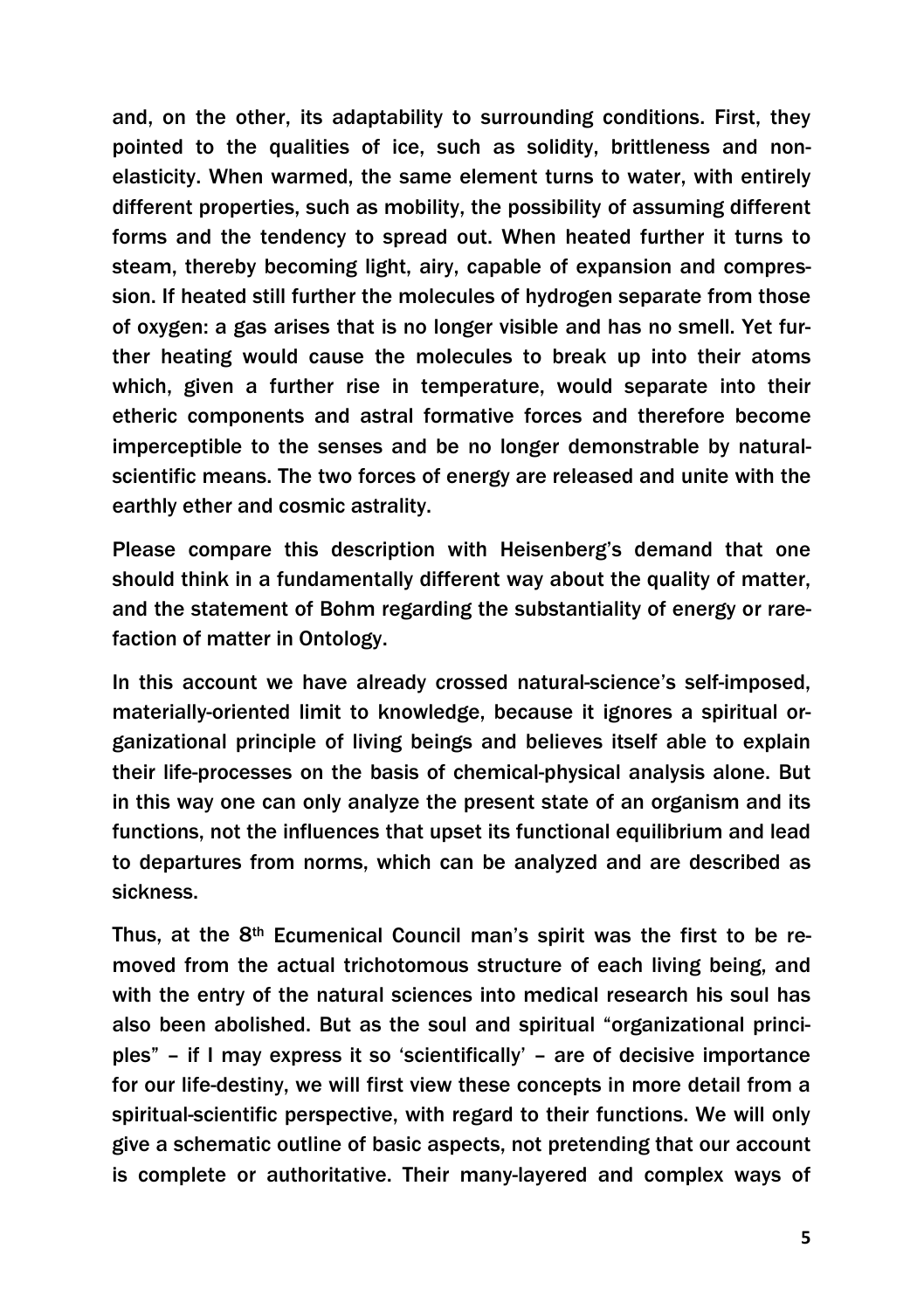and, on the other, its adaptability to surrounding conditions. First, they pointed to the qualities of ice, such as solidity, brittleness and nonelasticity. When warmed, the same element turns to water, with entirely different properties, such as mobility, the possibility of assuming different forms and the tendency to spread out. When heated further it turns to steam, thereby becoming light, airy, capable of expansion and compression. If heated still further the molecules of hydrogen separate from those of oxygen: a gas arises that is no longer visible and has no smell. Yet further heating would cause the molecules to break up into their atoms which, given a further rise in temperature, would separate into their etheric components and astral formative forces and therefore become imperceptible to the senses and be no longer demonstrable by naturalscientific means. The two forces of energy are released and unite with the earthly ether and cosmic astrality.

Please compare this description with Heisenberg's demand that one should think in a fundamentally different way about the quality of matter, and the statement of Bohm regarding the substantiality of energy or rarefaction of matter in Ontology.

In this account we have already crossed natural-science's self-imposed, materially-oriented limit to knowledge, because it ignores a spiritual organizational principle of living beings and believes itself able to explain their life-processes on the basis of chemical-physical analysis alone. But in this way one can only analyze the present state of an organism and its functions, not the influences that upset its functional equilibrium and lead to departures from norms, which can be analyzed and are described as sickness.

Thus, at the 8<sup>th</sup> Ecumenical Council man's spirit was the first to be removed from the actual trichotomous structure of each living being, and with the entry of the natural sciences into medical research his soul has also been abolished. But as the soul and spiritual "organizational principles" – if I may express it so 'scientifically' – are of decisive importance for our life-destiny, we will first view these concepts in more detail from a spiritual-scientific perspective, with regard to their functions. We will only give a schematic outline of basic aspects, not pretending that our account is complete or authoritative. Their many-layered and complex ways of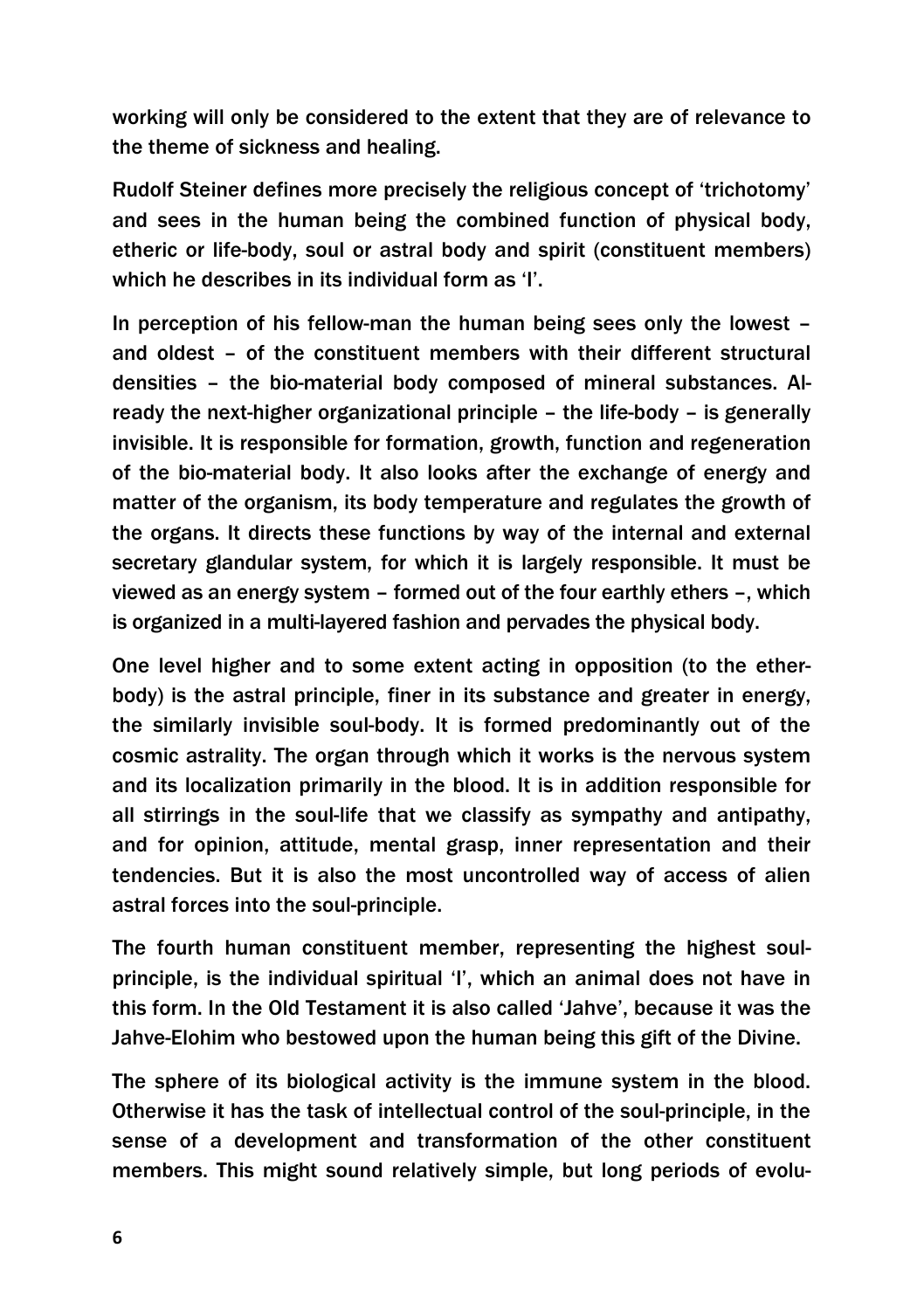working will only be considered to the extent that they are of relevance to the theme of sickness and healing.

Rudolf Steiner defines more precisely the religious concept of 'trichotomy' and sees in the human being the combined function of physical body, etheric or life-body, soul or astral body and spirit (constituent members) which he describes in its individual form as 'I'.

In perception of his fellow-man the human being sees only the lowest – and oldest – of the constituent members with their different structural densities – the bio-material body composed of mineral substances. Already the next-higher organizational principle – the life-body – is generally invisible. It is responsible for formation, growth, function and regeneration of the bio-material body. It also looks after the exchange of energy and matter of the organism, its body temperature and regulates the growth of the organs. It directs these functions by way of the internal and external secretary glandular system, for which it is largely responsible. It must be viewed as an energy system – formed out of the four earthly ethers –, which is organized in a multi-layered fashion and pervades the physical body.

One level higher and to some extent acting in opposition (to the etherbody) is the astral principle, finer in its substance and greater in energy, the similarly invisible soul-body. It is formed predominantly out of the cosmic astrality. The organ through which it works is the nervous system and its localization primarily in the blood. It is in addition responsible for all stirrings in the soul-life that we classify as sympathy and antipathy, and for opinion, attitude, mental grasp, inner representation and their tendencies. But it is also the most uncontrolled way of access of alien astral forces into the soul-principle.

The fourth human constituent member, representing the highest soulprinciple, is the individual spiritual 'I', which an animal does not have in this form. In the Old Testament it is also called 'Jahve', because it was the Jahve-Elohim who bestowed upon the human being this gift of the Divine.

The sphere of its biological activity is the immune system in the blood. Otherwise it has the task of intellectual control of the soul-principle, in the sense of a development and transformation of the other constituent members. This might sound relatively simple, but long periods of evolu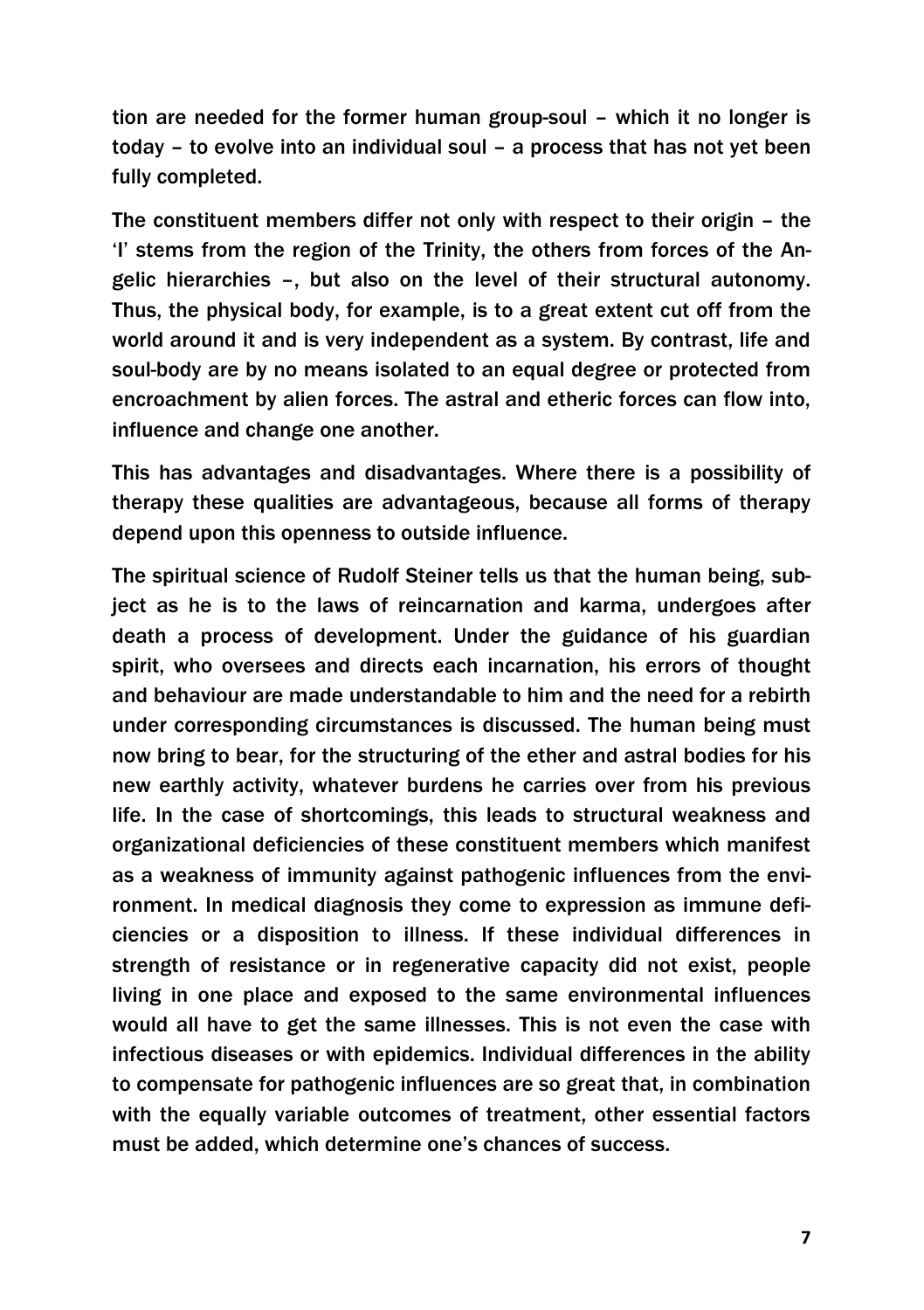tion are needed for the former human group-soul – which it no longer is today – to evolve into an individual soul – a process that has not yet been fully completed.

The constituent members differ not only with respect to their origin – the 'I' stems from the region of the Trinity, the others from forces of the Angelic hierarchies –, but also on the level of their structural autonomy. Thus, the physical body, for example, is to a great extent cut off from the world around it and is very independent as a system. By contrast, life and soul-body are by no means isolated to an equal degree or protected from encroachment by alien forces. The astral and etheric forces can flow into, influence and change one another.

This has advantages and disadvantages. Where there is a possibility of therapy these qualities are advantageous, because all forms of therapy depend upon this openness to outside influence.

The spiritual science of Rudolf Steiner tells us that the human being, subject as he is to the laws of reincarnation and karma, undergoes after death a process of development. Under the guidance of his guardian spirit, who oversees and directs each incarnation, his errors of thought and behaviour are made understandable to him and the need for a rebirth under corresponding circumstances is discussed. The human being must now bring to bear, for the structuring of the ether and astral bodies for his new earthly activity, whatever burdens he carries over from his previous life. In the case of shortcomings, this leads to structural weakness and organizational deficiencies of these constituent members which manifest as a weakness of immunity against pathogenic influences from the environment. In medical diagnosis they come to expression as immune deficiencies or a disposition to illness. If these individual differences in strength of resistance or in regenerative capacity did not exist, people living in one place and exposed to the same environmental influences would all have to get the same illnesses. This is not even the case with infectious diseases or with epidemics. Individual differences in the ability to compensate for pathogenic influences are so great that, in combination with the equally variable outcomes of treatment, other essential factors must be added, which determine one's chances of success.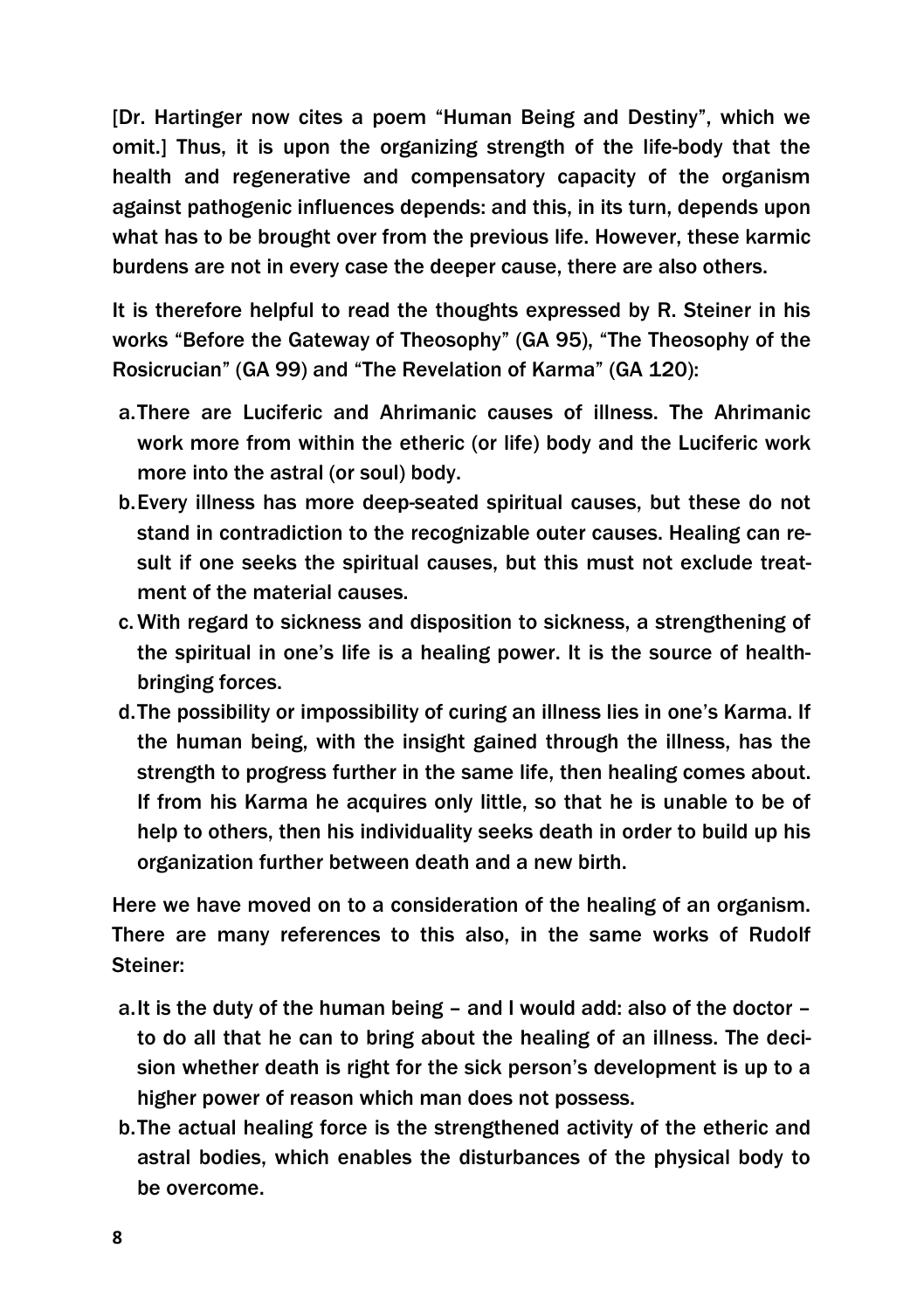[Dr. Hartinger now cites a poem "Human Being and Destiny", which we omit.] Thus, it is upon the organizing strength of the life-body that the health and regenerative and compensatory capacity of the organism against pathogenic influences depends: and this, in its turn, depends upon what has to be brought over from the previous life. However, these karmic burdens are not in every case the deeper cause, there are also others.

It is therefore helpful to read the thoughts expressed by R. Steiner in his works "Before the Gateway of Theosophy" (GA 95), "The Theosophy of the Rosicrucian" (GA 99) and "The Revelation of Karma" (GA 120):

- a.There are Luciferic and Ahrimanic causes of illness. The Ahrimanic work more from within the etheric (or life) body and the Luciferic work more into the astral (or soul) body.
- b.Every illness has more deep-seated spiritual causes, but these do not stand in contradiction to the recognizable outer causes. Healing can result if one seeks the spiritual causes, but this must not exclude treatment of the material causes.
- c.With regard to sickness and disposition to sickness, a strengthening of the spiritual in one's life is a healing power. It is the source of healthbringing forces.
- d.The possibility or impossibility of curing an illness lies in one's Karma. If the human being, with the insight gained through the illness, has the strength to progress further in the same life, then healing comes about. If from his Karma he acquires only little, so that he is unable to be of help to others, then his individuality seeks death in order to build up his organization further between death and a new birth.

Here we have moved on to a consideration of the healing of an organism. There are many references to this also, in the same works of Rudolf Steiner:

- a.It is the duty of the human being and I would add: also of the doctor to do all that he can to bring about the healing of an illness. The decision whether death is right for the sick person's development is up to a higher power of reason which man does not possess.
- b.The actual healing force is the strengthened activity of the etheric and astral bodies, which enables the disturbances of the physical body to be overcome.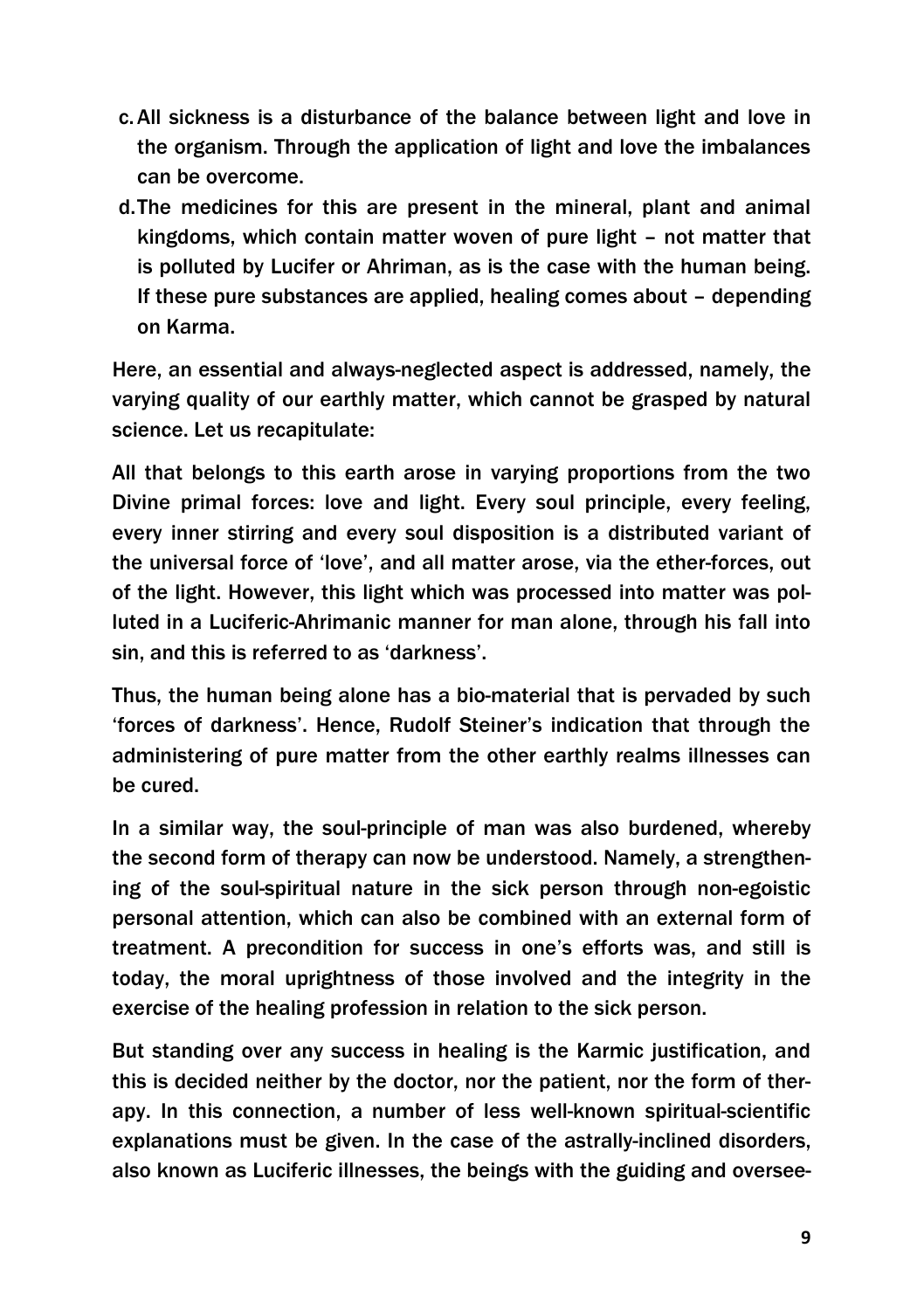- c.All sickness is a disturbance of the balance between light and love in the organism. Through the application of light and love the imbalances can be overcome.
- d.The medicines for this are present in the mineral, plant and animal kingdoms, which contain matter woven of pure light – not matter that is polluted by Lucifer or Ahriman, as is the case with the human being. If these pure substances are applied, healing comes about – depending on Karma.

Here, an essential and always-neglected aspect is addressed, namely, the varying quality of our earthly matter, which cannot be grasped by natural science. Let us recapitulate:

All that belongs to this earth arose in varying proportions from the two Divine primal forces: love and light. Every soul principle, every feeling, every inner stirring and every soul disposition is a distributed variant of the universal force of 'love', and all matter arose, via the ether-forces, out of the light. However, this light which was processed into matter was polluted in a Luciferic-Ahrimanic manner for man alone, through his fall into sin, and this is referred to as 'darkness'.

Thus, the human being alone has a bio-material that is pervaded by such 'forces of darkness'. Hence, Rudolf Steiner's indication that through the administering of pure matter from the other earthly realms illnesses can be cured.

In a similar way, the soul-principle of man was also burdened, whereby the second form of therapy can now be understood. Namely, a strengthening of the soul-spiritual nature in the sick person through non-egoistic personal attention, which can also be combined with an external form of treatment. A precondition for success in one's efforts was, and still is today, the moral uprightness of those involved and the integrity in the exercise of the healing profession in relation to the sick person.

But standing over any success in healing is the Karmic justification, and this is decided neither by the doctor, nor the patient, nor the form of therapy. In this connection, a number of less well-known spiritual-scientific explanations must be given. In the case of the astrally-inclined disorders, also known as Luciferic illnesses, the beings with the guiding and oversee-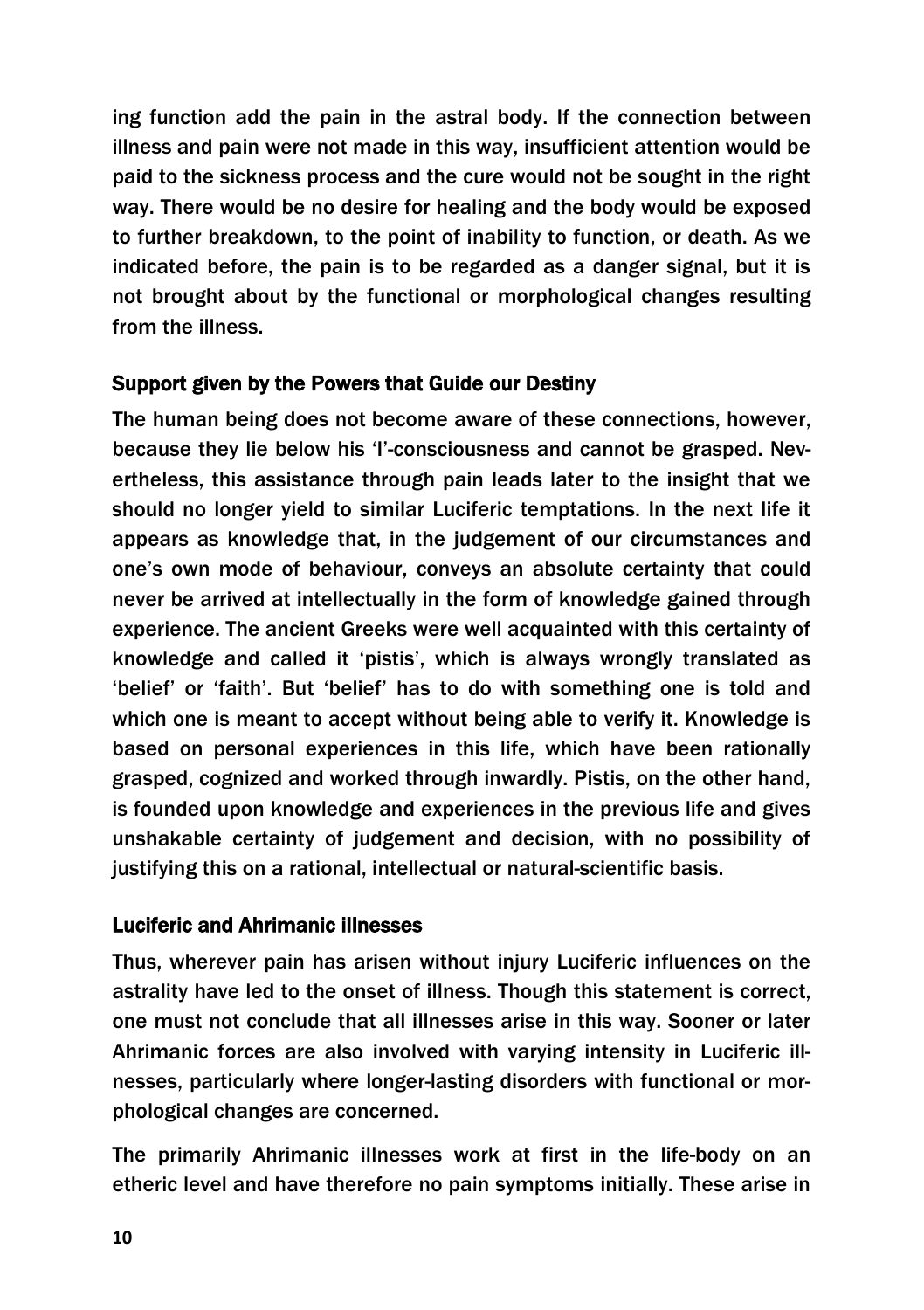ing function add the pain in the astral body. If the connection between illness and pain were not made in this way, insufficient attention would be paid to the sickness process and the cure would not be sought in the right way. There would be no desire for healing and the body would be exposed to further breakdown, to the point of inability to function, or death. As we indicated before, the pain is to be regarded as a danger signal, but it is not brought about by the functional or morphological changes resulting from the illness.

### Support given by the Powers that Guide our Destiny

The human being does not become aware of these connections, however, because they lie below his 'I'-consciousness and cannot be grasped. Nevertheless, this assistance through pain leads later to the insight that we should no longer yield to similar Luciferic temptations. In the next life it appears as knowledge that, in the judgement of our circumstances and one's own mode of behaviour, conveys an absolute certainty that could never be arrived at intellectually in the form of knowledge gained through experience. The ancient Greeks were well acquainted with this certainty of knowledge and called it 'pistis', which is always wrongly translated as 'belief' or 'faith'. But 'belief' has to do with something one is told and which one is meant to accept without being able to verify it. Knowledge is based on personal experiences in this life, which have been rationally grasped, cognized and worked through inwardly. Pistis, on the other hand, is founded upon knowledge and experiences in the previous life and gives unshakable certainty of judgement and decision, with no possibility of justifying this on a rational, intellectual or natural-scientific basis.

### Luciferic and Ahrimanic illnesses

Thus, wherever pain has arisen without injury Luciferic influences on the astrality have led to the onset of illness. Though this statement is correct, one must not conclude that all illnesses arise in this way. Sooner or later Ahrimanic forces are also involved with varying intensity in Luciferic illnesses, particularly where longer-lasting disorders with functional or morphological changes are concerned.

The primarily Ahrimanic illnesses work at first in the life-body on an etheric level and have therefore no pain symptoms initially. These arise in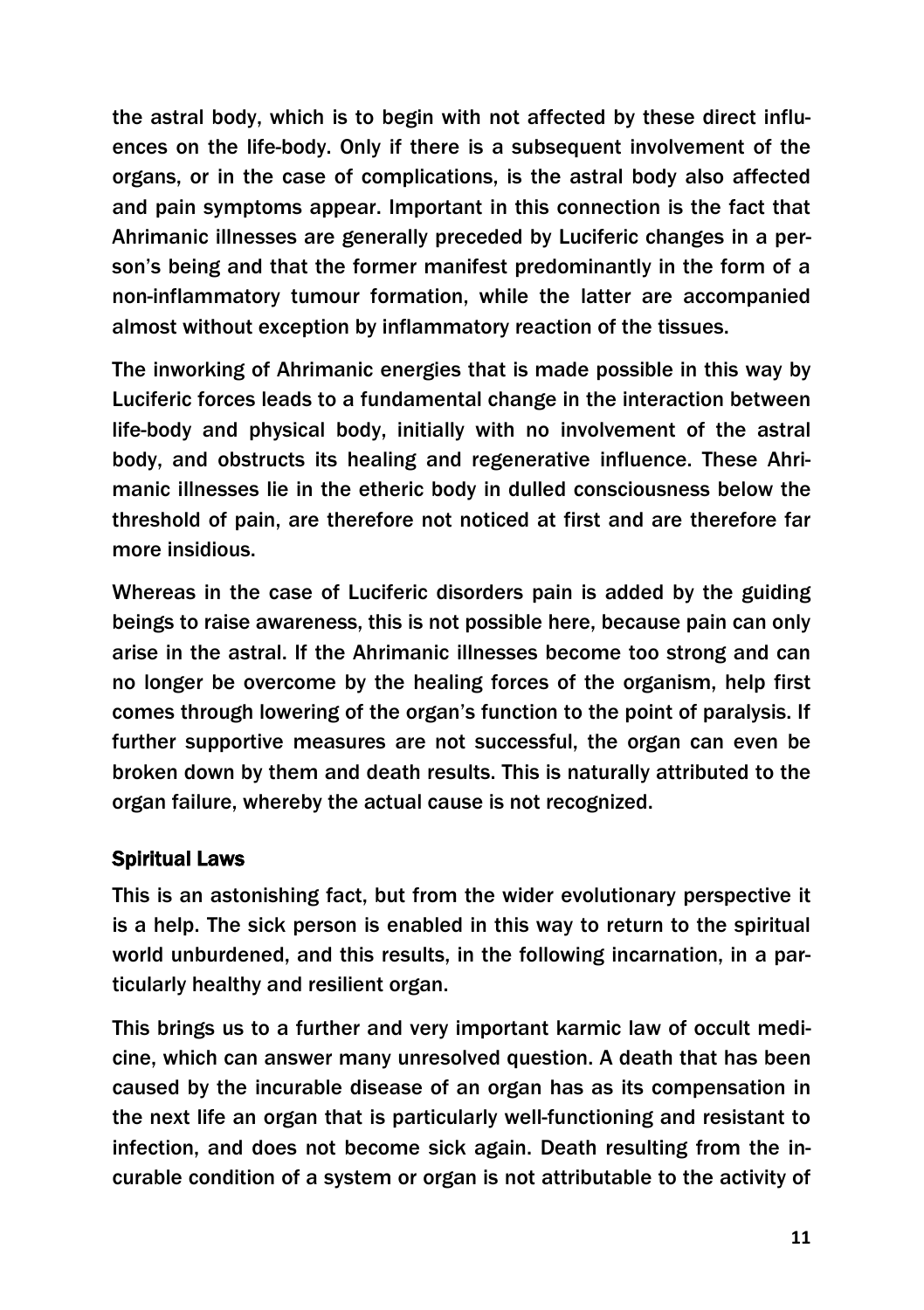the astral body, which is to begin with not affected by these direct influences on the life-body. Only if there is a subsequent involvement of the organs, or in the case of complications, is the astral body also affected and pain symptoms appear. Important in this connection is the fact that Ahrimanic illnesses are generally preceded by Luciferic changes in a person's being and that the former manifest predominantly in the form of a non-inflammatory tumour formation, while the latter are accompanied almost without exception by inflammatory reaction of the tissues.

The inworking of Ahrimanic energies that is made possible in this way by Luciferic forces leads to a fundamental change in the interaction between life-body and physical body, initially with no involvement of the astral body, and obstructs its healing and regenerative influence. These Ahrimanic illnesses lie in the etheric body in dulled consciousness below the threshold of pain, are therefore not noticed at first and are therefore far more insidious.

Whereas in the case of Luciferic disorders pain is added by the guiding beings to raise awareness, this is not possible here, because pain can only arise in the astral. If the Ahrimanic illnesses become too strong and can no longer be overcome by the healing forces of the organism, help first comes through lowering of the organ's function to the point of paralysis. If further supportive measures are not successful, the organ can even be broken down by them and death results. This is naturally attributed to the organ failure, whereby the actual cause is not recognized.

### Spiritual Laws

This is an astonishing fact, but from the wider evolutionary perspective it is a help. The sick person is enabled in this way to return to the spiritual world unburdened, and this results, in the following incarnation, in a particularly healthy and resilient organ.

This brings us to a further and very important karmic law of occult medicine, which can answer many unresolved question. A death that has been caused by the incurable disease of an organ has as its compensation in the next life an organ that is particularly well-functioning and resistant to infection, and does not become sick again. Death resulting from the incurable condition of a system or organ is not attributable to the activity of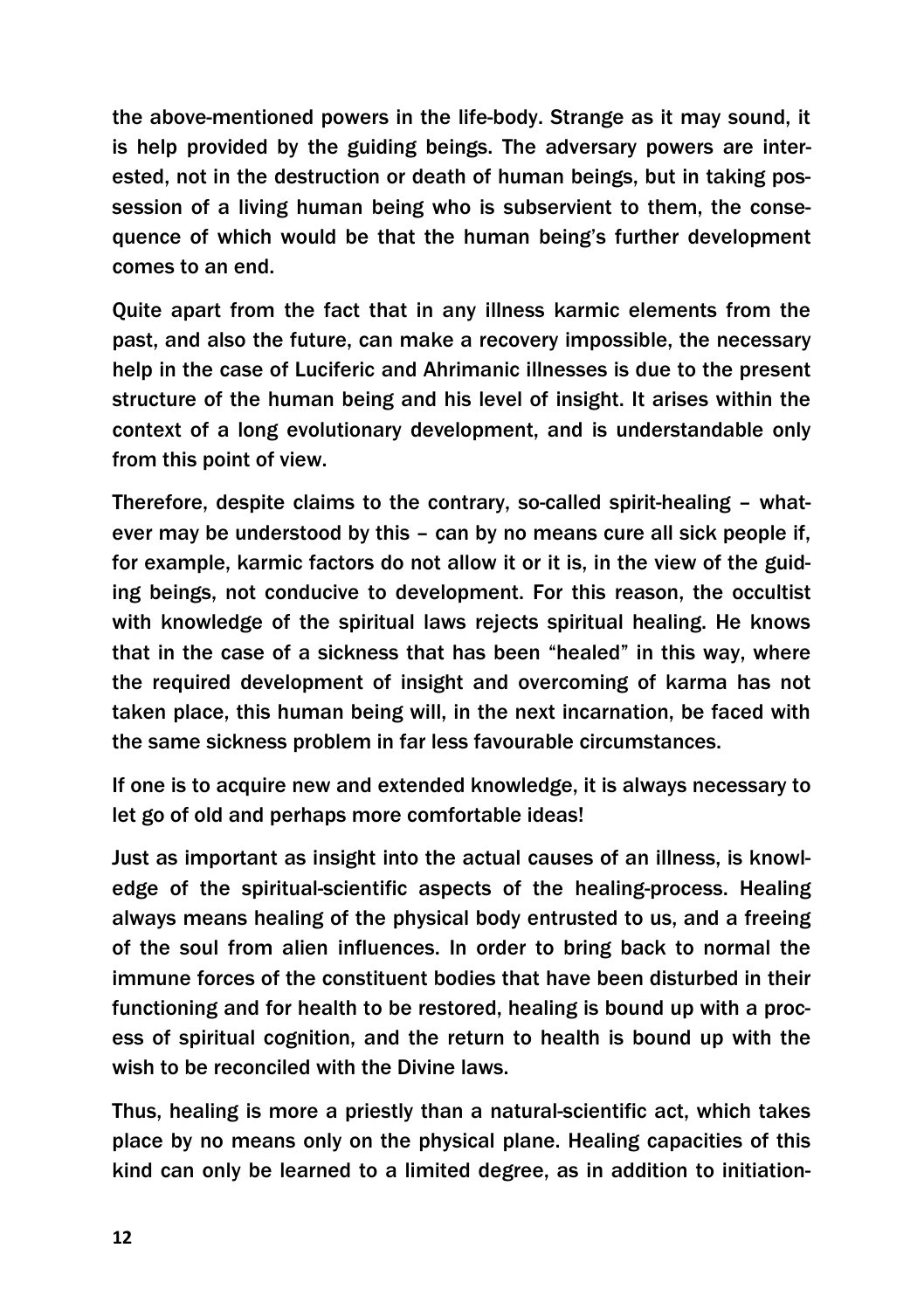the above-mentioned powers in the life-body. Strange as it may sound, it is help provided by the guiding beings. The adversary powers are interested, not in the destruction or death of human beings, but in taking possession of a living human being who is subservient to them, the consequence of which would be that the human being's further development comes to an end.

Quite apart from the fact that in any illness karmic elements from the past, and also the future, can make a recovery impossible, the necessary help in the case of Luciferic and Ahrimanic illnesses is due to the present structure of the human being and his level of insight. It arises within the context of a long evolutionary development, and is understandable only from this point of view.

Therefore, despite claims to the contrary, so-called spirit-healing – whatever may be understood by this – can by no means cure all sick people if, for example, karmic factors do not allow it or it is, in the view of the guiding beings, not conducive to development. For this reason, the occultist with knowledge of the spiritual laws rejects spiritual healing. He knows that in the case of a sickness that has been "healed" in this way, where the required development of insight and overcoming of karma has not taken place, this human being will, in the next incarnation, be faced with the same sickness problem in far less favourable circumstances.

If one is to acquire new and extended knowledge, it is always necessary to let go of old and perhaps more comfortable ideas!

Just as important as insight into the actual causes of an illness, is knowledge of the spiritual-scientific aspects of the healing-process. Healing always means healing of the physical body entrusted to us, and a freeing of the soul from alien influences. In order to bring back to normal the immune forces of the constituent bodies that have been disturbed in their functioning and for health to be restored, healing is bound up with a process of spiritual cognition, and the return to health is bound up with the wish to be reconciled with the Divine laws.

Thus, healing is more a priestly than a natural-scientific act, which takes place by no means only on the physical plane. Healing capacities of this kind can only be learned to a limited degree, as in addition to initiation-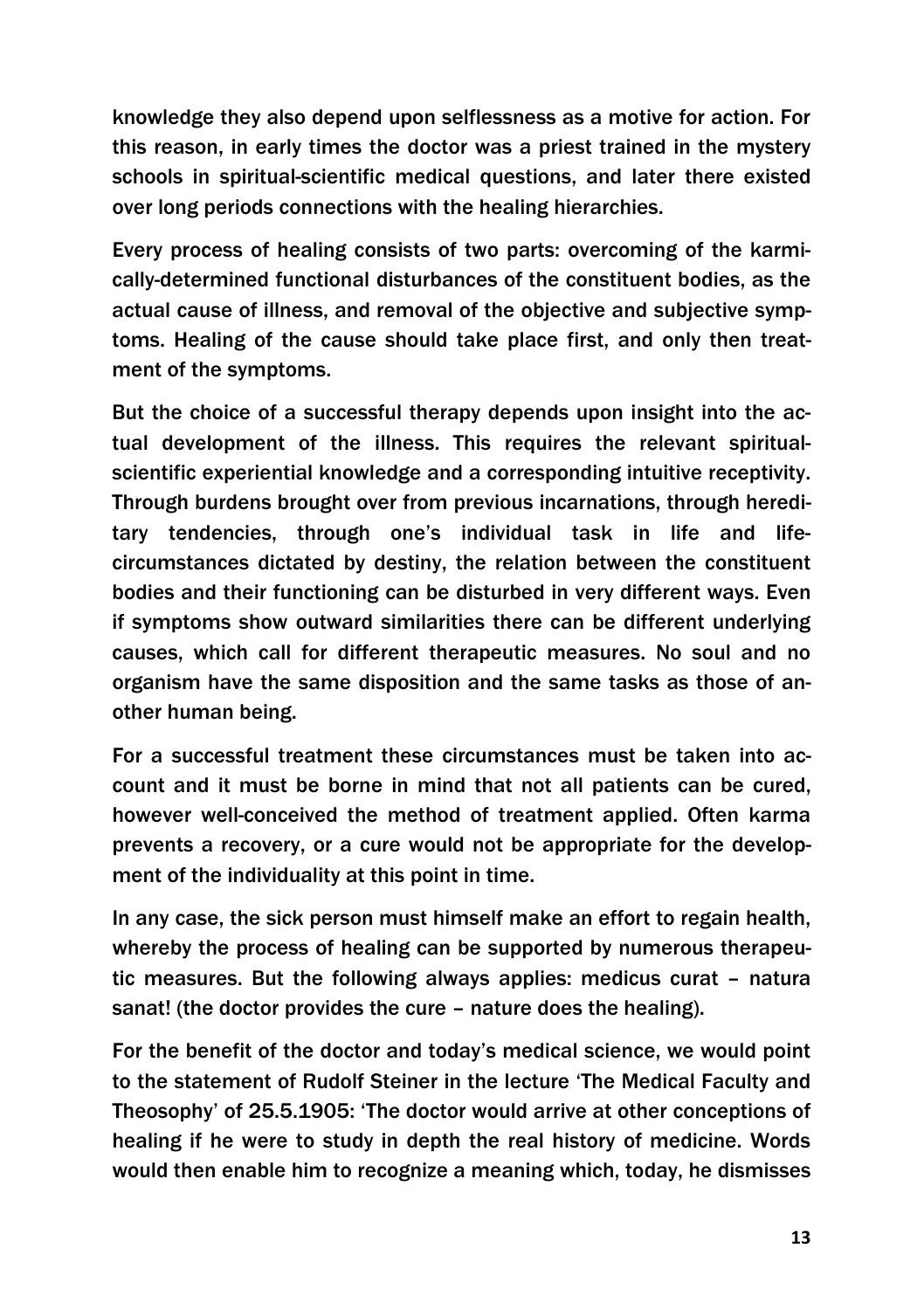knowledge they also depend upon selflessness as a motive for action. For this reason, in early times the doctor was a priest trained in the mystery schools in spiritual-scientific medical questions, and later there existed over long periods connections with the healing hierarchies.

Every process of healing consists of two parts: overcoming of the karmically-determined functional disturbances of the constituent bodies, as the actual cause of illness, and removal of the objective and subjective symptoms. Healing of the cause should take place first, and only then treatment of the symptoms.

But the choice of a successful therapy depends upon insight into the actual development of the illness. This requires the relevant spiritualscientific experiential knowledge and a corresponding intuitive receptivity. Through burdens brought over from previous incarnations, through hereditary tendencies, through one's individual task in life and lifecircumstances dictated by destiny, the relation between the constituent bodies and their functioning can be disturbed in very different ways. Even if symptoms show outward similarities there can be different underlying causes, which call for different therapeutic measures. No soul and no organism have the same disposition and the same tasks as those of another human being.

For a successful treatment these circumstances must be taken into account and it must be borne in mind that not all patients can be cured, however well-conceived the method of treatment applied. Often karma prevents a recovery, or a cure would not be appropriate for the development of the individuality at this point in time.

In any case, the sick person must himself make an effort to regain health, whereby the process of healing can be supported by numerous therapeutic measures. But the following always applies: medicus curat – natura sanat! (the doctor provides the cure – nature does the healing).

For the benefit of the doctor and today's medical science, we would point to the statement of Rudolf Steiner in the lecture 'The Medical Faculty and Theosophy' of 25.5.1905: 'The doctor would arrive at other conceptions of healing if he were to study in depth the real history of medicine. Words would then enable him to recognize a meaning which, today, he dismisses